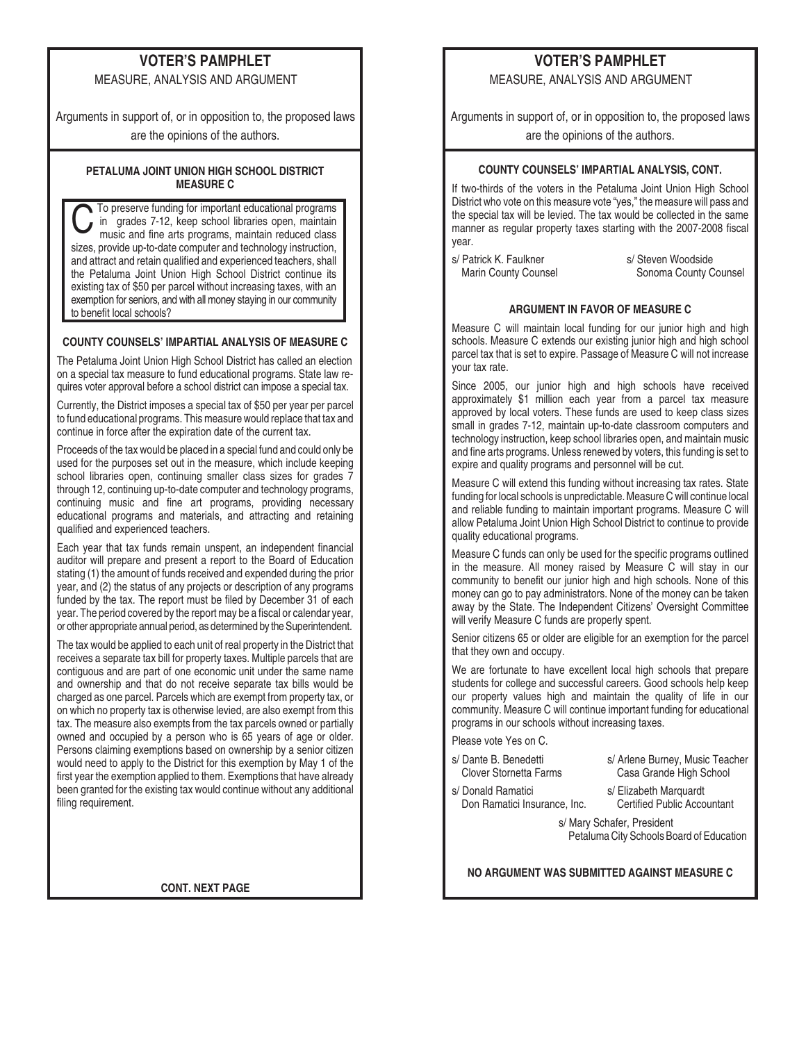# **VOTER'S PAMPHLET**

MEASURE, ANALYSIS AND ARGUMENT

Arguments in support of, or in opposition to, the proposed laws are the opinions of the authors.

**PETALUMA JOINT UNION HIGH SCHOOL DISTRICT MEASURE C**

**C**To preserve funding for important educational programs<br>in grades 7-12, keep school libraries open, maintain<br>music and fine arts programs, maintain reduced class in grades 7-12, keep school libraries open, maintain sizes, provide up-to-date computer and technology instruction, and attract and retain qualified and experienced teachers, shall the Petaluma Joint Union High School District continue its existing tax of \$50 per parcel without increasing taxes, with an exemption for seniors, and with all money staying in our community to benefit local schools?

## **COUNTY COUNSELS' IMPARTIAL ANALYSIS OF MEASURE C**

The Petaluma Joint Union High School District has called an election on a special tax measure to fund educational programs. State law requires voter approval before a school district can impose a special tax.

Currently, the District imposes a special tax of \$50 per year per parcel to fund educational programs. This measure would replace that tax and continue in force after the expiration date of the current tax.

Proceeds of the tax would be placed in a special fund and could only be used for the purposes set out in the measure, which include keeping school libraries open, continuing smaller class sizes for grades 7 through 12, continuing up-to-date computer and technology programs, continuing music and fine art programs, providing necessary educational programs and materials, and attracting and retaining qualified and experienced teachers.

Each year that tax funds remain unspent, an independent financial auditor will prepare and present a report to the Board of Education stating (1) the amount of funds received and expended during the prior year, and (2) the status of any projects or description of any programs funded by the tax. The report must be filed by December 31 of each year. The period covered by the report may be a fiscal or calendar year, or other appropriate annual period, as determined by the Superintendent.

The tax would be applied to each unit of real property in the District that receives a separate tax bill for property taxes. Multiple parcels that are contiguous and are part of one economic unit under the same name and ownership and that do not receive separate tax bills would be charged as one parcel. Parcels which are exempt from property tax, or on which no property tax is otherwise levied, are also exempt from this tax. The measure also exempts from the tax parcels owned or partially owned and occupied by a person who is 65 years of age or older. Persons claiming exemptions based on ownership by a senior citizen would need to apply to the District for this exemption by May 1 of the first year the exemption applied to them. Exemptions that have already been granted for the existing tax would continue without any additional filing requirement.

**CONT. NEXT PAGE**

# **VOTER'S PAMPHLET**

MEASURE, ANALYSIS AND ARGUMENT

Arguments in support of, or in opposition to, the proposed laws are the opinions of the authors.

## **COUNTY COUNSELS' IMPARTIAL ANALYSIS, CONT.**

If two-thirds of the voters in the Petaluma Joint Union High School District who vote on this measure vote "yes," the measure will pass and the special tax will be levied. The tax would be collected in the same manner as regular property taxes starting with the 2007-2008 fiscal year.

s/ Patrick K. Faulkner Marin County Counsel s/ Steven Woodside Sonoma County Counsel

### **ARGUMENT IN FAVOR OF MEASURE C**

Measure C will maintain local funding for our junior high and high schools. Measure C extends our existing junior high and high school parcel tax that is set to expire. Passage of Measure C will not increase your tax rate.

Since 2005, our junior high and high schools have received approximately \$1 million each year from a parcel tax measure approved by local voters. These funds are used to keep class sizes small in grades 7-12, maintain up-to-date classroom computers and technology instruction, keep school libraries open, and maintain music and fine arts programs. Unless renewed by voters, this funding is set to expire and quality programs and personnel will be cut.

Measure C will extend this funding without increasing tax rates. State funding for local schools is unpredictable. Measure C will continue local and reliable funding to maintain important programs. Measure C will allow Petaluma Joint Union High School District to continue to provide quality educational programs.

Measure C funds can only be used for the specific programs outlined in the measure. All money raised by Measure C will stay in our community to benefit our junior high and high schools. None of this money can go to pay administrators. None of the money can be taken away by the State. The Independent Citizens' Oversight Committee will verify Measure C funds are properly spent.

Senior citizens 65 or older are eligible for an exemption for the parcel that they own and occupy.

We are fortunate to have excellent local high schools that prepare students for college and successful careers. Good schools help keep our property values high and maintain the quality of life in our community. Measure C will continue important funding for educational programs in our schools without increasing taxes.

Please vote Yes on C.

- s/ Dante B. Benedetti Clover Stornetta Farms
- s/ Arlene Burney, Music Teacher Casa Grande High School
- s/ Donald Ramatici Don Ramatici Insurance, Inc.
- s/ Elizabeth Marquardt Certified Public Accountant

s/ Mary Schafer, President Petaluma City Schools Board of Education

**NO ARGUMENT WAS SUBMITTED AGAINST MEASURE C**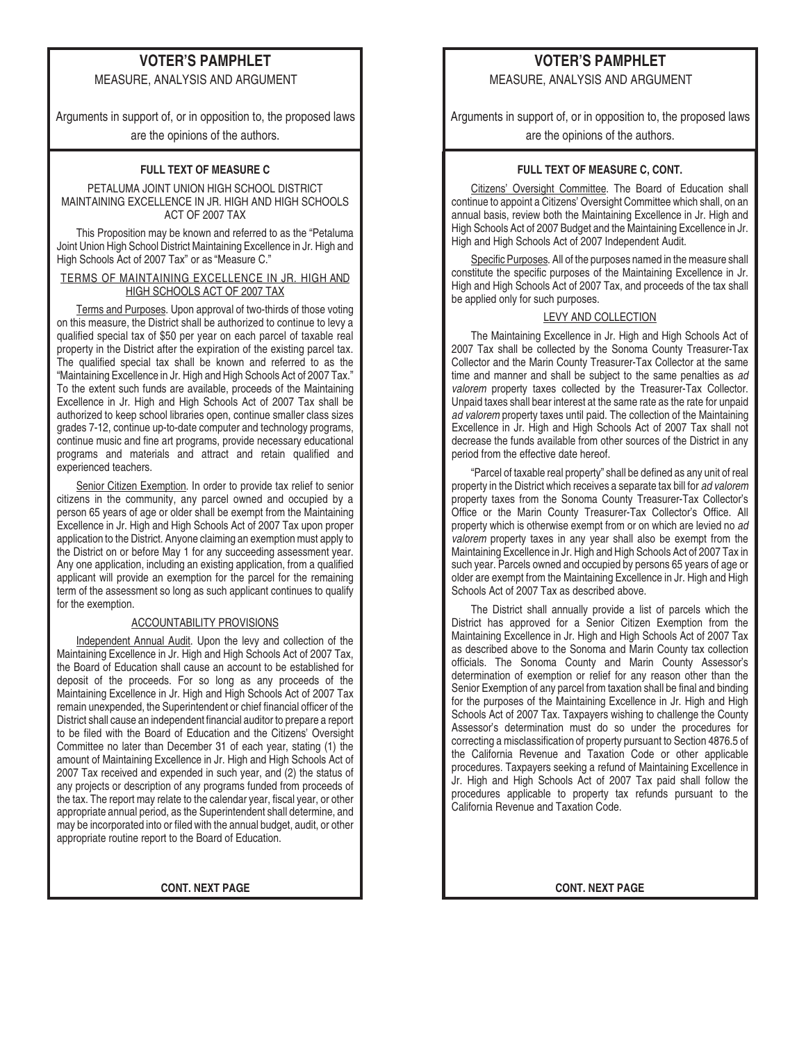# **VOTER'S PAMPHLET**

MEASURE, ANALYSIS AND ARGUMENT

Arguments in support of, or in opposition to, the proposed laws are the opinions of the authors.

#### **FULL TEXT OF MEASURE C**

PETALUMA JOINT UNION HIGH SCHOOL DISTRICT MAINTAINING EXCELLENCE IN JR. HIGH AND HIGH SCHOOLS ACT OF 2007 TAX

This Proposition may be known and referred to as the "Petaluma Joint Union High School District Maintaining Excellence in Jr. High and High Schools Act of 2007 Tax" or as "Measure C."

#### TERMS OF MAINTAINING EXCELLENCE IN JR. HIGH AND HIGH SCHOOLS ACT OF 2007 TAX

Terms and Purposes. Upon approval of two-thirds of those voting on this measure, the District shall be authorized to continue to levy a qualified special tax of \$50 per year on each parcel of taxable real property in the District after the expiration of the existing parcel tax. The qualified special tax shall be known and referred to as the "Maintaining Excellence in Jr. High and High Schools Act of 2007 Tax." To the extent such funds are available, proceeds of the Maintaining Excellence in Jr. High and High Schools Act of 2007 Tax shall be authorized to keep school libraries open, continue smaller class sizes grades 7-12, continue up-to-date computer and technology programs, continue music and fine art programs, provide necessary educational programs and materials and attract and retain qualified and experienced teachers.

Senior Citizen Exemption. In order to provide tax relief to senior citizens in the community, any parcel owned and occupied by a person 65 years of age or older shall be exempt from the Maintaining Excellence in Jr. High and High Schools Act of 2007 Tax upon proper application to the District. Anyone claiming an exemption must apply to the District on or before May 1 for any succeeding assessment year. Any one application, including an existing application, from a qualified applicant will provide an exemption for the parcel for the remaining term of the assessment so long as such applicant continues to qualify for the exemption.

### ACCOUNTABILITY PROVISIONS

Independent Annual Audit. Upon the levy and collection of the Maintaining Excellence in Jr. High and High Schools Act of 2007 Tax, the Board of Education shall cause an account to be established for deposit of the proceeds. For so long as any proceeds of the Maintaining Excellence in Jr. High and High Schools Act of 2007 Tax remain unexpended, the Superintendent or chief financial officer of the District shall cause an independent financial auditor to prepare a report to be filed with the Board of Education and the Citizens' Oversight Committee no later than December 31 of each year, stating (1) the amount of Maintaining Excellence in Jr. High and High Schools Act of 2007 Tax received and expended in such year, and (2) the status of any projects or description of any programs funded from proceeds of the tax. The report may relate to the calendar year, fiscal year, or other appropriate annual period, as the Superintendent shall determine, and may be incorporated into or filed with the annual budget, audit, or other appropriate routine report to the Board of Education.

## **VOTER'S PAMPHLET**

MEASURE, ANALYSIS AND ARGUMENT

Arguments in support of, or in opposition to, the proposed laws are the opinions of the authors.

### **FULL TEXT OF MEASURE C, CONT.**

Citizens' Oversight Committee. The Board of Education shall continue to appoint a Citizens' Oversight Committee which shall, on an annual basis, review both the Maintaining Excellence in Jr. High and High Schools Act of 2007 Budget and the Maintaining Excellence in Jr. High and High Schools Act of 2007 Independent Audit.

Specific Purposes. All of the purposes named in the measure shall constitute the specific purposes of the Maintaining Excellence in Jr. High and High Schools Act of 2007 Tax, and proceeds of the tax shall be applied only for such purposes.

#### LEVY AND COLLECTION

The Maintaining Excellence in Jr. High and High Schools Act of 2007 Tax shall be collected by the Sonoma County Treasurer-Tax Collector and the Marin County Treasurer-Tax Collector at the same time and manner and shall be subject to the same penalties as ad valorem property taxes collected by the Treasurer-Tax Collector. Unpaid taxes shall bear interest at the same rate as the rate for unpaid ad valorem property taxes until paid. The collection of the Maintaining Excellence in Jr. High and High Schools Act of 2007 Tax shall not decrease the funds available from other sources of the District in any period from the effective date hereof.

"Parcel of taxable real property" shall be defined as any unit of real property in the District which receives a separate tax bill for ad valorem property taxes from the Sonoma County Treasurer-Tax Collector's Office or the Marin County Treasurer-Tax Collector's Office. All property which is otherwise exempt from or on which are levied no ad valorem property taxes in any year shall also be exempt from the Maintaining Excellence in Jr. High and High Schools Act of 2007 Tax in such year. Parcels owned and occupied by persons 65 years of age or older are exempt from the Maintaining Excellence in Jr. High and High Schools Act of 2007 Tax as described above.

The District shall annually provide a list of parcels which the District has approved for a Senior Citizen Exemption from the Maintaining Excellence in Jr. High and High Schools Act of 2007 Tax as described above to the Sonoma and Marin County tax collection officials. The Sonoma County and Marin County Assessor's determination of exemption or relief for any reason other than the Senior Exemption of any parcel from taxation shall be final and binding for the purposes of the Maintaining Excellence in Jr. High and High Schools Act of 2007 Tax. Taxpayers wishing to challenge the County Assessor's determination must do so under the procedures for correcting a misclassification of property pursuant to Section 4876.5 of the California Revenue and Taxation Code or other applicable procedures. Taxpayers seeking a refund of Maintaining Excellence in Jr. High and High Schools Act of 2007 Tax paid shall follow the procedures applicable to property tax refunds pursuant to the California Revenue and Taxation Code.

**CONT. NEXT PAGE CONT. NEXT PAGE**